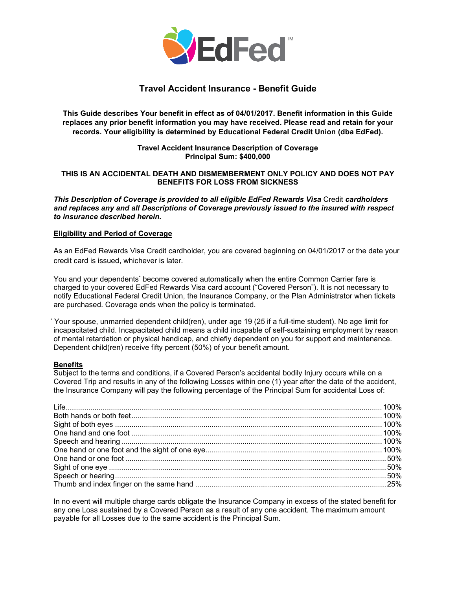

# **Travel Accident Insurance - Benefit Guide**

**This Guide describes Your benefit in effect as of 04/01/2017. Benefit information in this Guide replaces any prior benefit information you may have received. Please read and retain for your records. Your eligibility is determined by Educational Federal Credit Union (dba EdFed).** 

## **Travel Accident Insurance Description of Coverage Principal Sum: \$400,000**

## **THIS IS AN ACCIDENTAL DEATH AND DISMEMBERMENT ONLY POLICY AND DOES NOT PAY BENEFITS FOR LOSS FROM SICKNESS**

*This Description of Coverage is provided to all eligible EdFed Rewards Visa* Credit *cardholders and replaces any and all Descriptions of Coverage previously issued to the insured with respect to insurance described herein.*

#### **Eligibility and Period of Coverage**

As an EdFed Rewards Visa Credit cardholder, you are covered beginning on 04/01/2017 or the date your credit card is issued, whichever is later.

You and your dependents\* become covered automatically when the entire Common Carrier fare is charged to your covered EdFed Rewards Visa card account ("Covered Person"). It is not necessary to notify Educational Federal Credit Union, the Insurance Company, or the Plan Administrator when tickets are purchased. Coverage ends when the policy is terminated.

\* Your spouse, unmarried dependent child(ren), under age 19 (25 if a full-time student). No age limit for incapacitated child. Incapacitated child means a child incapable of self-sustaining employment by reason of mental retardation or physical handicap, and chiefly dependent on you for support and maintenance. Dependent child(ren) receive fifty percent (50%) of your benefit amount.

#### **Benefits**

Subject to the terms and conditions, if a Covered Person's accidental bodily Injury occurs while on a Covered Trip and results in any of the following Losses within one (1) year after the date of the accident, the Insurance Company will pay the following percentage of the Principal Sum for accidental Loss of:

In no event will multiple charge cards obligate the Insurance Company in excess of the stated benefit for any one Loss sustained by a Covered Person as a result of any one accident. The maximum amount payable for all Losses due to the same accident is the Principal Sum.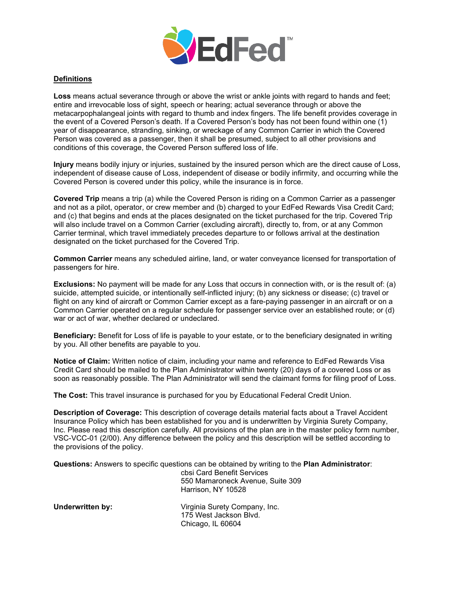

## **Definitions**

**Loss** means actual severance through or above the wrist or ankle joints with regard to hands and feet; entire and irrevocable loss of sight, speech or hearing; actual severance through or above the metacarpophalangeal joints with regard to thumb and index fingers. The life benefit provides coverage in the event of a Covered Person's death. If a Covered Person's body has not been found within one (1) year of disappearance, stranding, sinking, or wreckage of any Common Carrier in which the Covered Person was covered as a passenger, then it shall be presumed, subject to all other provisions and conditions of this coverage, the Covered Person suffered loss of life.

**Injury** means bodily injury or injuries, sustained by the insured person which are the direct cause of Loss, independent of disease cause of Loss, independent of disease or bodily infirmity, and occurring while the Covered Person is covered under this policy, while the insurance is in force.

**Covered Trip** means a trip (a) while the Covered Person is riding on a Common Carrier as a passenger and not as a pilot, operator, or crew member and (b) charged to your EdFed Rewards Visa Credit Card; and (c) that begins and ends at the places designated on the ticket purchased for the trip. Covered Trip will also include travel on a Common Carrier (excluding aircraft), directly to, from, or at any Common Carrier terminal, which travel immediately precedes departure to or follows arrival at the destination designated on the ticket purchased for the Covered Trip.

**Common Carrier** means any scheduled airline, land, or water conveyance licensed for transportation of passengers for hire.

**Exclusions:** No payment will be made for any Loss that occurs in connection with, or is the result of: (a) suicide, attempted suicide, or intentionally self-inflicted injury; (b) any sickness or disease; (c) travel or flight on any kind of aircraft or Common Carrier except as a fare-paying passenger in an aircraft or on a Common Carrier operated on a regular schedule for passenger service over an established route; or (d) war or act of war, whether declared or undeclared.

**Beneficiary:** Benefit for Loss of life is payable to your estate, or to the beneficiary designated in writing by you. All other benefits are payable to you.

**Notice of Claim:** Written notice of claim, including your name and reference to EdFed Rewards Visa Credit Card should be mailed to the Plan Administrator within twenty (20) days of a covered Loss or as soon as reasonably possible. The Plan Administrator will send the claimant forms for filing proof of Loss.

**The Cost:** This travel insurance is purchased for you by Educational Federal Credit Union.

**Description of Coverage:** This description of coverage details material facts about a Travel Accident Insurance Policy which has been established for you and is underwritten by Virginia Surety Company, Inc. Please read this description carefully. All provisions of the plan are in the master policy form number, VSC-VCC-01 (2/00). Any difference between the policy and this description will be settled according to the provisions of the policy.

**Questions:** Answers to specific questions can be obtained by writing to the **Plan Administrator**:

cbsi Card Benefit Services 550 Mamaroneck Avenue, Suite 309 Harrison, NY 10528

**Underwritten by:** Virginia Surety Company, Inc. 175 West Jackson Blvd. Chicago, IL 60604